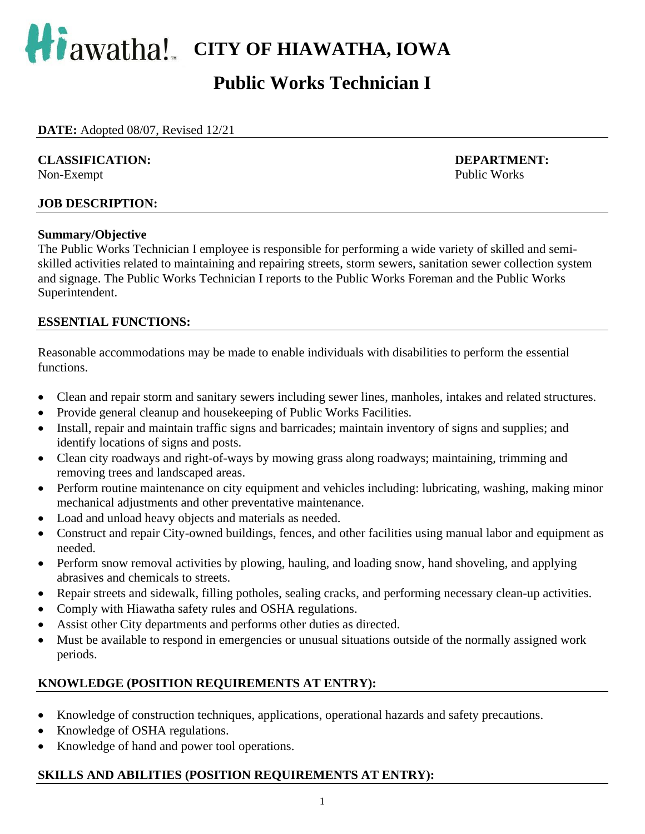

# **Public Works Technician I**

**DATE:** Adopted 08/07, Revised 12/21

#### **CLASSIFICATION: DEPARTMENT:**

Non-Exempt Public Works

#### **JOB DESCRIPTION:**

#### **Summary/Objective**

The Public Works Technician I employee is responsible for performing a wide variety of skilled and semiskilled activities related to maintaining and repairing streets, storm sewers, sanitation sewer collection system and signage. The Public Works Technician I reports to the Public Works Foreman and the Public Works Superintendent.

### **ESSENTIAL FUNCTIONS:**

Reasonable accommodations may be made to enable individuals with disabilities to perform the essential functions.

- Clean and repair storm and sanitary sewers including sewer lines, manholes, intakes and related structures.
- Provide general cleanup and housekeeping of Public Works Facilities.
- Install, repair and maintain traffic signs and barricades; maintain inventory of signs and supplies; and identify locations of signs and posts.
- Clean city roadways and right-of-ways by mowing grass along roadways; maintaining, trimming and removing trees and landscaped areas.
- Perform routine maintenance on city equipment and vehicles including: lubricating, washing, making minor mechanical adjustments and other preventative maintenance.
- Load and unload heavy objects and materials as needed.
- Construct and repair City-owned buildings, fences, and other facilities using manual labor and equipment as needed.
- Perform snow removal activities by plowing, hauling, and loading snow, hand shoveling, and applying abrasives and chemicals to streets.
- Repair streets and sidewalk, filling potholes, sealing cracks, and performing necessary clean-up activities.
- Comply with Hiawatha safety rules and OSHA regulations.
- Assist other City departments and performs other duties as directed.
- Must be available to respond in emergencies or unusual situations outside of the normally assigned work periods.

# **KNOWLEDGE (POSITION REQUIREMENTS AT ENTRY):**

- Knowledge of construction techniques, applications, operational hazards and safety precautions.
- Knowledge of OSHA regulations.
- Knowledge of hand and power tool operations.

### **SKILLS AND ABILITIES (POSITION REQUIREMENTS AT ENTRY):**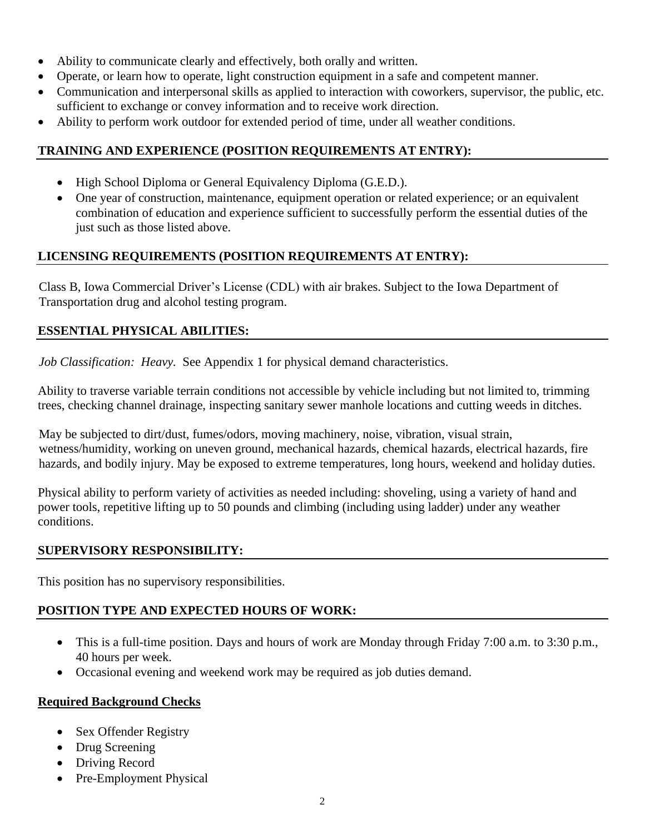- Ability to communicate clearly and effectively, both orally and written.
- Operate, or learn how to operate, light construction equipment in a safe and competent manner.
- Communication and interpersonal skills as applied to interaction with coworkers, supervisor, the public, etc. sufficient to exchange or convey information and to receive work direction.
- Ability to perform work outdoor for extended period of time, under all weather conditions.

# **TRAINING AND EXPERIENCE (POSITION REQUIREMENTS AT ENTRY):**

- High School Diploma or General Equivalency Diploma (G.E.D.).
- One year of construction, maintenance, equipment operation or related experience; or an equivalent combination of education and experience sufficient to successfully perform the essential duties of the just such as those listed above.

# **LICENSING REQUIREMENTS (POSITION REQUIREMENTS AT ENTRY):**

Class B, Iowa Commercial Driver's License (CDL) with air brakes. Subject to the Iowa Department of Transportation drug and alcohol testing program.

# **ESSENTIAL PHYSICAL ABILITIES:**

*Job Classification: Heavy.* See Appendix 1 for physical demand characteristics.

Ability to traverse variable terrain conditions not accessible by vehicle including but not limited to, trimming trees, checking channel drainage, inspecting sanitary sewer manhole locations and cutting weeds in ditches.

May be subjected to dirt/dust, fumes/odors, moving machinery, noise, vibration, visual strain, wetness/humidity, working on uneven ground, mechanical hazards, chemical hazards, electrical hazards, fire hazards, and bodily injury. May be exposed to extreme temperatures, long hours, weekend and holiday duties.

Physical ability to perform variety of activities as needed including: shoveling, using a variety of hand and power tools, repetitive lifting up to 50 pounds and climbing (including using ladder) under any weather conditions.

# **SUPERVISORY RESPONSIBILITY:**

This position has no supervisory responsibilities.

# **POSITION TYPE AND EXPECTED HOURS OF WORK:**

- This is a full-time position. Days and hours of work are Monday through Friday 7:00 a.m. to 3:30 p.m., 40 hours per week.
- Occasional evening and weekend work may be required as job duties demand.

### **Required Background Checks**

- Sex Offender Registry
- Drug Screening
- Driving Record
- Pre-Employment Physical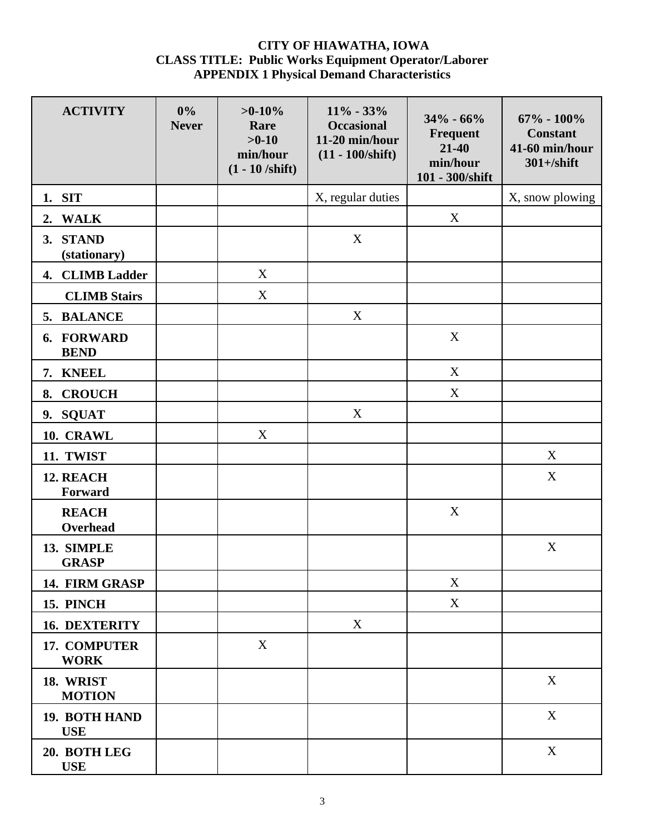#### **CITY OF HIAWATHA, IOWA CLASS TITLE: Public Works Equipment Operator/Laborer APPENDIX 1 Physical Demand Characteristics**

| <b>ACTIVITY</b>             | 0%<br><b>Never</b> | $>0-10%$<br>Rare<br>$>0-10$<br>min/hour<br>$(1 - 10 / \text{shift})$ | $11\% - 33\%$<br><b>Occasional</b><br>11-20 min/hour<br>$(11 - 100/shift)$ | $34\% - 66\%$<br>Frequent<br>$21 - 40$<br>min/hour<br>101 - 300/shift | $67\% - 100\%$<br><b>Constant</b><br>41-60 min/hour<br>$301 + /$ shift |
|-----------------------------|--------------------|----------------------------------------------------------------------|----------------------------------------------------------------------------|-----------------------------------------------------------------------|------------------------------------------------------------------------|
| 1. SIT                      |                    |                                                                      | X, regular duties                                                          |                                                                       | X, snow plowing                                                        |
| 2. WALK                     |                    |                                                                      |                                                                            | X                                                                     |                                                                        |
| 3. STAND<br>(stationary)    |                    |                                                                      | X                                                                          |                                                                       |                                                                        |
| 4. CLIMB Ladder             |                    | X                                                                    |                                                                            |                                                                       |                                                                        |
| <b>CLIMB Stairs</b>         |                    | X                                                                    |                                                                            |                                                                       |                                                                        |
| 5. BALANCE                  |                    |                                                                      | X                                                                          |                                                                       |                                                                        |
| 6. FORWARD<br><b>BEND</b>   |                    |                                                                      |                                                                            | X                                                                     |                                                                        |
| 7. KNEEL                    |                    |                                                                      |                                                                            | X                                                                     |                                                                        |
| <b>CROUCH</b><br>8.         |                    |                                                                      |                                                                            | X                                                                     |                                                                        |
| 9. SQUAT                    |                    |                                                                      | X                                                                          |                                                                       |                                                                        |
| 10. CRAWL                   |                    | X                                                                    |                                                                            |                                                                       |                                                                        |
| 11. TWIST                   |                    |                                                                      |                                                                            |                                                                       | X                                                                      |
| 12. REACH<br>Forward        |                    |                                                                      |                                                                            |                                                                       | $\mathbf X$                                                            |
| <b>REACH</b><br>Overhead    |                    |                                                                      |                                                                            | X                                                                     |                                                                        |
| 13. SIMPLE<br><b>GRASP</b>  |                    |                                                                      |                                                                            |                                                                       | X                                                                      |
| 14. FIRM GRASP              |                    |                                                                      |                                                                            | X                                                                     |                                                                        |
| <b>15. PINCH</b>            |                    |                                                                      |                                                                            | X                                                                     |                                                                        |
| <b>16. DEXTERITY</b>        |                    |                                                                      | X                                                                          |                                                                       |                                                                        |
| 17. COMPUTER<br><b>WORK</b> |                    | X                                                                    |                                                                            |                                                                       |                                                                        |
| 18. WRIST<br><b>MOTION</b>  |                    |                                                                      |                                                                            |                                                                       | $\mathbf X$                                                            |
| 19. BOTH HAND<br><b>USE</b> |                    |                                                                      |                                                                            |                                                                       | $\mathbf X$                                                            |
| 20. BOTH LEG<br><b>USE</b>  |                    |                                                                      |                                                                            |                                                                       | X                                                                      |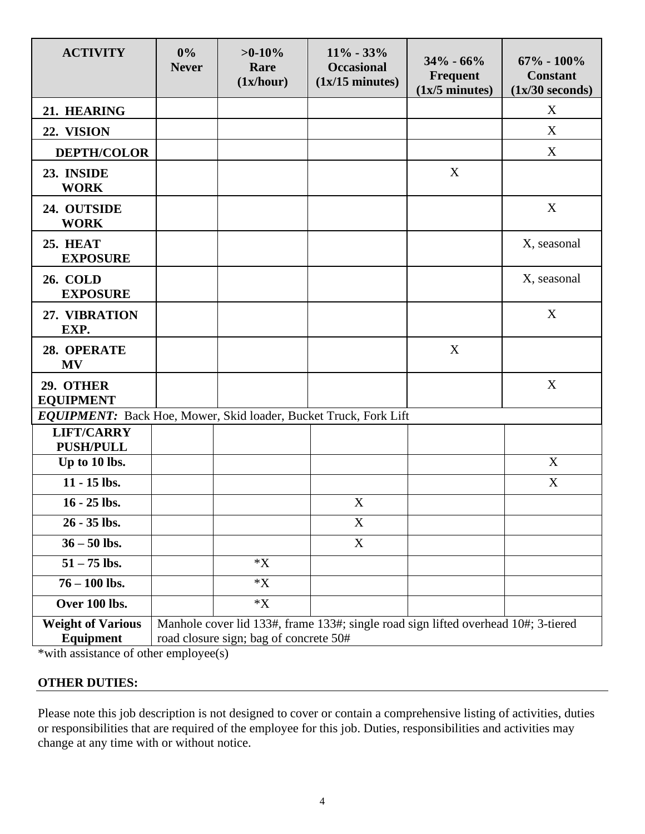| <b>ACTIVITY</b>                                                  | $0\%$<br><b>Never</b>                                                                                                        | $>0-10%$<br>Rare<br>(1x/hour) | $11\% - 33\%$<br><b>Occasional</b><br>$(1x/15 \text{ minutes})$ | $34\% - 66\%$<br>Frequent<br>$(1x/5 \text{ minutes})$ | $67\% - 100\%$<br><b>Constant</b><br>$(1x/30$ seconds) |
|------------------------------------------------------------------|------------------------------------------------------------------------------------------------------------------------------|-------------------------------|-----------------------------------------------------------------|-------------------------------------------------------|--------------------------------------------------------|
| 21. HEARING                                                      |                                                                                                                              |                               |                                                                 |                                                       | X                                                      |
| 22. VISION                                                       |                                                                                                                              |                               |                                                                 |                                                       | X                                                      |
| <b>DEPTH/COLOR</b>                                               |                                                                                                                              |                               |                                                                 |                                                       | X                                                      |
| 23. INSIDE<br><b>WORK</b>                                        |                                                                                                                              |                               |                                                                 | X                                                     |                                                        |
| 24. OUTSIDE<br><b>WORK</b>                                       |                                                                                                                              |                               |                                                                 |                                                       | X                                                      |
| <b>25. HEAT</b><br><b>EXPOSURE</b>                               |                                                                                                                              |                               |                                                                 |                                                       | X, seasonal                                            |
| <b>26. COLD</b><br><b>EXPOSURE</b>                               |                                                                                                                              |                               |                                                                 |                                                       | X, seasonal                                            |
| 27. VIBRATION<br>EXP.                                            |                                                                                                                              |                               |                                                                 |                                                       | X                                                      |
| 28. OPERATE<br><b>MV</b>                                         |                                                                                                                              |                               |                                                                 | X                                                     |                                                        |
| 29. OTHER<br><b>EQUIPMENT</b>                                    |                                                                                                                              |                               |                                                                 |                                                       | X                                                      |
| EQUIPMENT: Back Hoe, Mower, Skid loader, Bucket Truck, Fork Lift |                                                                                                                              |                               |                                                                 |                                                       |                                                        |
| <b>LIFT/CARRY</b><br><b>PUSH/PULL</b>                            |                                                                                                                              |                               |                                                                 |                                                       |                                                        |
| Up to 10 lbs.                                                    |                                                                                                                              |                               |                                                                 |                                                       | X                                                      |
| 11 - 15 lbs.                                                     |                                                                                                                              |                               |                                                                 |                                                       | X                                                      |
| 16 - 25 lbs.                                                     |                                                                                                                              |                               | X                                                               |                                                       |                                                        |
| 26 - 35 lbs.                                                     |                                                                                                                              |                               | $\boldsymbol{\mathrm{X}}$                                       |                                                       |                                                        |
| $36 - 50$ lbs.                                                   |                                                                                                                              |                               | $\mathbf X$                                                     |                                                       |                                                        |
| $51 - 75$ lbs.                                                   |                                                                                                                              | $\mathbf{X}^*$                |                                                                 |                                                       |                                                        |
| $76 - 100$ lbs.                                                  |                                                                                                                              | $\mathbf{^{\ast}X}$           |                                                                 |                                                       |                                                        |
| Over 100 lbs.                                                    |                                                                                                                              | $*X$                          |                                                                 |                                                       |                                                        |
| <b>Weight of Various</b><br><b>Equipment</b>                     | Manhole cover lid 133#, frame 133#; single road sign lifted overhead 10#; 3-tiered<br>road closure sign; bag of concrete 50# |                               |                                                                 |                                                       |                                                        |

\*with assistance of other employee(s)

### **OTHER DUTIES:**

Please note this job description is not designed to cover or contain a comprehensive listing of activities, duties or responsibilities that are required of the employee for this job. Duties, responsibilities and activities may change at any time with or without notice.